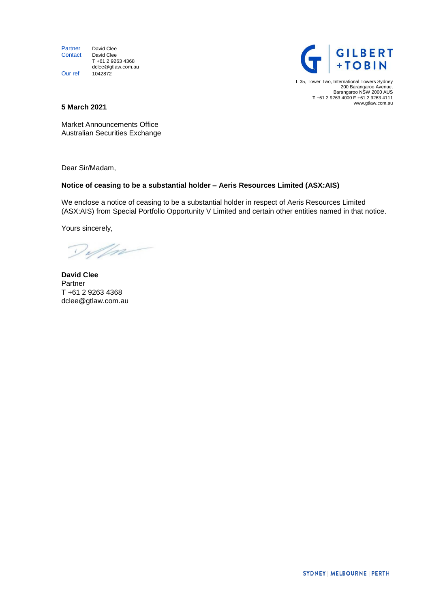Partner David Clee<br>Contact David Clee David Clee T +61 2 9263 4368 dclee@gtlaw.com.au Our ref 1042872



L 35, Tower Two, International Towers Sydney 200 Barangaroo Avenue, Barangaroo NSW 2000 AUS **T** +61 2 9263 4000 **F** +61 2 9263 4111 ww[w.gtlaw.com.au](http://www.gtlaw.com.au/)

## **5 March 2021**

Market Announcements Office Australian Securities Exchange

Dear Sir/Madam,

## **Notice of ceasing to be a substantial holder – Aeris Resources Limited (ASX:AIS)**

We enclose a notice of ceasing to be a substantial holder in respect of Aeris Resources Limited (ASX:AIS) from Special Portfolio Opportunity V Limited and certain other entities named in that notice.

Yours sincerely,

Deffer

**David Clee**  Partner T +61 2 9263 4368 dclee@gtlaw.com.au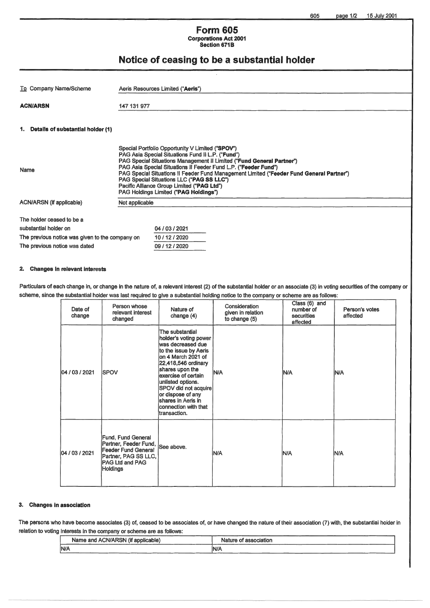| 605 | page 1/2 | 15 July 2001 |  |
|-----|----------|--------------|--|
|     |          |              |  |

#### Form 605 Corporations Act 2001 Section 671B

## Notice of ceasing to be a substantial holder

| <b>Corporations Act 2001</b><br><b>Section 671B</b>                                 |                                                 |                |                                                                                                                                                                                                                                           |                                                                                                                                                                                                                                      |               |                |  |
|-------------------------------------------------------------------------------------|-------------------------------------------------|----------------|-------------------------------------------------------------------------------------------------------------------------------------------------------------------------------------------------------------------------------------------|--------------------------------------------------------------------------------------------------------------------------------------------------------------------------------------------------------------------------------------|---------------|----------------|--|
|                                                                                     |                                                 |                |                                                                                                                                                                                                                                           | Notice of ceasing to be a substantial holder                                                                                                                                                                                         |               |                |  |
| To Company Name/Scheme                                                              |                                                 |                | Aeris Resources Limited ("Aeris")                                                                                                                                                                                                         |                                                                                                                                                                                                                                      |               |                |  |
| <b>ACN/ARSN</b>                                                                     |                                                 | 147 131 977    |                                                                                                                                                                                                                                           |                                                                                                                                                                                                                                      |               |                |  |
|                                                                                     | 1. Details of substantial holder (1)            |                |                                                                                                                                                                                                                                           |                                                                                                                                                                                                                                      |               |                |  |
| Name                                                                                |                                                 |                | Special Portfolio Opportunity V Limited ("SPOV")<br>PAG Asia Special Situations Fund II L.P. ("Fund")<br>PAG Special Situations LLC ("PAG SS LLC")<br>Pacific Alliance Group Limited ("PAG Ltd")<br>PAG Holdings Limited ("PAG Holdings") | PAG Special Situations Management II Limited ("Fund General Partner")<br>PAG Asia Special Situations II Feeder Fund L.P. ("Feeder Fund")<br>PAG Special Situations !! Feeder Fund Management Limited ("Feeder Fund General Partner") |               |                |  |
| <b>ACN/ARSN (if applicable)</b>                                                     |                                                 | Not applicable |                                                                                                                                                                                                                                           |                                                                                                                                                                                                                                      |               |                |  |
| The holder ceased to be a<br>substantial holder on<br>The previous notice was dated | The previous notice was given to the company on |                | 04 / 03 / 2021<br>10 / 12 / 2020<br>09/12/2020                                                                                                                                                                                            |                                                                                                                                                                                                                                      |               |                |  |
|                                                                                     | 2. Changes in relevant interests                |                |                                                                                                                                                                                                                                           |                                                                                                                                                                                                                                      |               |                |  |
|                                                                                     |                                                 |                |                                                                                                                                                                                                                                           | Particulars of each change in, or change in the nature of, a relevant interest (2) of the substantial holder or an associate (3) in voting securities of the company or                                                              |               |                |  |
|                                                                                     |                                                 | Person whose   |                                                                                                                                                                                                                                           | scheme, since the substantial holder was last required to give a substantial holding notice to the company or scheme are as follows:<br>Consideration                                                                                | Class (6) and |                |  |
|                                                                                     | Date of                                         | بقسة فمرجع وما | Nature of                                                                                                                                                                                                                                 | بساحين حبف حبحت                                                                                                                                                                                                                      | number of     | Person's votes |  |

#### 2. Changes in relevant interests

| Date of<br>change                                                                                                                                                 | Person whose<br>relevant interest<br>changed                                                                                            | Nature of<br>change $(4)$                                                                                                                                                                                                                                                                                              | Consideration<br>given in relation<br>to change (5) | Class (6) and<br>number of<br>securities<br>affected | Person's votes<br>affected |
|-------------------------------------------------------------------------------------------------------------------------------------------------------------------|-----------------------------------------------------------------------------------------------------------------------------------------|------------------------------------------------------------------------------------------------------------------------------------------------------------------------------------------------------------------------------------------------------------------------------------------------------------------------|-----------------------------------------------------|------------------------------------------------------|----------------------------|
| 04 / 03 / 2021                                                                                                                                                    | <b>ISPOV</b>                                                                                                                            | The substantial<br>holder's voting power<br>lwas decreased due<br>to the issue by Aeris<br>on 4 March 2021 of<br>22,418,546 ordinary<br>shares upon the<br>exercise of certain<br>unlisted options.<br><b>SPOV</b> did not acquire<br>or dispose of any<br>shares in Aeris in<br>connection with that<br>ltransaction. | <b>N/A</b>                                          | IN/A                                                 | In/A                       |
| 04 / 03 / 2021                                                                                                                                                    | Fund, Fund General<br>Partner, Feeder Fund,<br>Feeder Fund General<br>Partner, PAG SS LLC,<br><b>PAG Ltd and PAG</b><br><b>Holdings</b> | See above.                                                                                                                                                                                                                                                                                                             | IN/A                                                | N/A                                                  | IN/A                       |
| n association<br>io have become associates (3) of, ceased to be associates of, or have changed the nature of their association (7) with, the substantial holder i |                                                                                                                                         |                                                                                                                                                                                                                                                                                                                        |                                                     |                                                      |                            |
| g interests in the company or scheme are as follows:                                                                                                              |                                                                                                                                         |                                                                                                                                                                                                                                                                                                                        |                                                     |                                                      |                            |
| Name and ACN/ARSN (if applicable)                                                                                                                                 |                                                                                                                                         |                                                                                                                                                                                                                                                                                                                        | Nature of association                               |                                                      |                            |
| <b>N/A</b>                                                                                                                                                        |                                                                                                                                         |                                                                                                                                                                                                                                                                                                                        | <b>IN/A</b>                                         |                                                      |                            |

#### <sup>3</sup>.Changes in association

The persons who have become associates (3) of, ceased to be associates of, or have changed the nature of their association (7) with, the substantial holder in relation to voting interests in the company or scheme are as follows:

| Name and ACN/ARSN (if applicable) | Nature of association |
|-----------------------------------|-----------------------|
| <b>IN/A</b>                       | <b>IN/A</b>           |